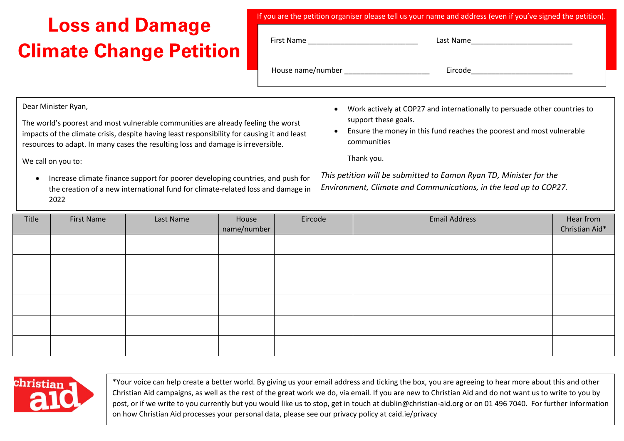## **Loss and Damage Climate Change Petition**

| If you are the petition organiser please tell us your name and address (even if you've signed the petition). |                                                             |  |  |  |  |  |  |
|--------------------------------------------------------------------------------------------------------------|-------------------------------------------------------------|--|--|--|--|--|--|
| First Name                                                                                                   | Last Name<br><u> 1980 - Jan Barbara Barbara, manazarta </u> |  |  |  |  |  |  |
| House name/number                                                                                            | Eircode                                                     |  |  |  |  |  |  |
|                                                                                                              |                                                             |  |  |  |  |  |  |

Dear Minister Ryan,

The world's poorest and most vulnerable communities are already feeling the worst impacts of the climate crisis, despite having least responsibility for causing it and least resources to adapt. In many cases the resulting loss and damage is irreversible.

We call on you to:

• Increase climate finance support for poorer developing countries, and push for the creation of a new international fund for climate-related loss and damage in 2022

- Work actively at COP27 and internationally to persuade other countries to support these goals.
- Ensure the money in this fund reaches the poorest and most vulnerable communities

Thank you.

*This petition will be submitted to Eamon Ryan TD, Minister for the Environment, Climate and Communications, in the lead up to COP27.*

| Title | First Name | Last Name | House<br>name/number | Eircode | <b>Email Address</b> | Hear from<br>Christian Aid* |
|-------|------------|-----------|----------------------|---------|----------------------|-----------------------------|
|       |            |           |                      |         |                      |                             |
|       |            |           |                      |         |                      |                             |
|       |            |           |                      |         |                      |                             |
|       |            |           |                      |         |                      |                             |
|       |            |           |                      |         |                      |                             |
|       |            |           |                      |         |                      |                             |



\*Your voice can help create a better world. By giving us your email address and ticking the box, you are agreeing to hear more about this and other Christian Aid campaigns, as well as the rest of the great work we do, via email. If you are new to Christian Aid and do not want us to write to you by post, or if we write to you currently but you would like us to stop, get in touch at dublin@christian-aid.org or on 01 496 7040. For further information on how Christian Aid processes your personal data, please see our privacy policy at caid.ie/privacy